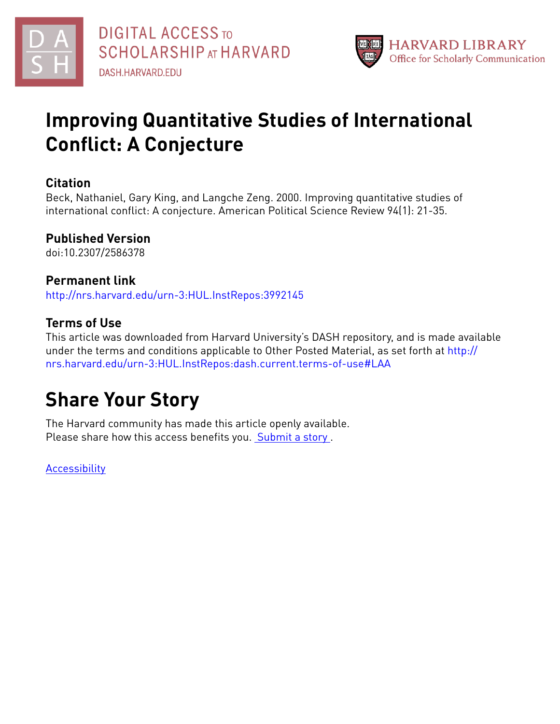



# **Improving Quantitative Studies of International Conflict: A Conjecture**

# **Citation**

Beck, Nathaniel, Gary King, and Langche Zeng. 2000. Improving quantitative studies of international conflict: A conjecture. American Political Science Review 94(1): 21-35.

# **Published Version**

doi:10.2307/2586378

# **Permanent link**

<http://nrs.harvard.edu/urn-3:HUL.InstRepos:3992145>

# **Terms of Use**

This article was downloaded from Harvard University's DASH repository, and is made available under the terms and conditions applicable to Other Posted Material, as set forth at [http://](http://nrs.harvard.edu/urn-3:HUL.InstRepos:dash.current.terms-of-use#LAA) [nrs.harvard.edu/urn-3:HUL.InstRepos:dash.current.terms-of-use#LAA](http://nrs.harvard.edu/urn-3:HUL.InstRepos:dash.current.terms-of-use#LAA)

# **Share Your Story**

The Harvard community has made this article openly available. Please share how this access benefits you. [Submit](http://osc.hul.harvard.edu/dash/open-access-feedback?handle=&title=Improving%20Quantitative%20Studies%20of%20International%20Conflict:%20A%20Conjecture&community=1/1&collection=1/2&owningCollection1/2&harvardAuthors=ca69fae5cb15e5a4f5d12c3778286086&departmentGovernment) a story.

**[Accessibility](https://dash.harvard.edu/pages/accessibility)**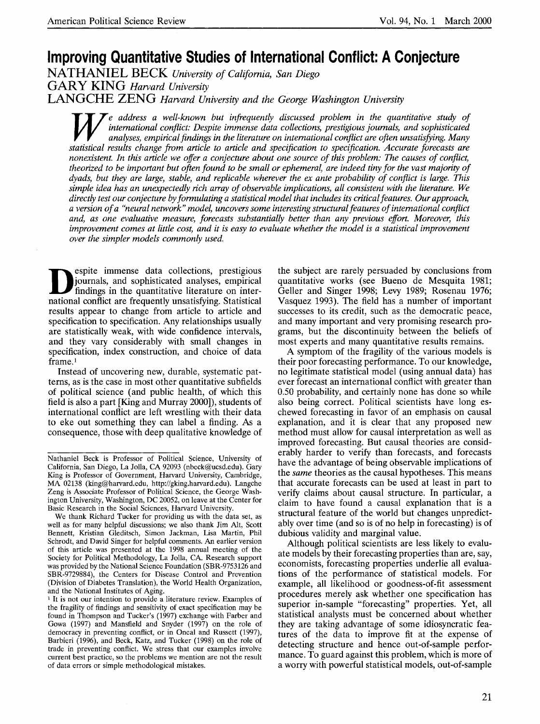# **Improving Quantitative Studies of International Conflict: A Conjecture**

NATHANIEL BECK *University of California, San Diego*  GARY KING *Harvard University*  LANGCHE ZENG *Haward University and the George Washington University* 

 $\overline{V}$  *e address a well-known but infrequently discussed problem in the quantitative study of international conpict: Despite immense data collections, prestigious journals, and sophisticated analyses, empirical findings in the literature on international conflict are often unsatisfying. Many statistical results change ffom article to article and specijication to specijication. Accurate forecasts are nonexistent. In this article we offer a conjecture about one source of this problem: The causes of conflict, theorized to be important but often found to be small or ephemeral, are indeed tiny for the vast majority of dyads, but they are large, stable, and replicable wherever the ex ante probability of conflict is large. This simple idea has an unexpectedly rich array of observable implications, all consistent with the literature. We directly test our conjecture by formulating a statistical model that includes its critical features. Our approach, a version of a "neural network" model, uncovers some interesting structural features of international conflict and, as one evaluative measure, forecasts substantially better than any previous effort. Moreover, this improvement comes at little cost, and it is easy to evaluate whether the model is a statistical improvement over the simpler models commonly used.* 

**D** espite immense data collections, prestigious journals, and sophisticated analyses, empirical findings in the quantitative literature on interjournals, and sophisticated analyses, empirical findings in the quantitative literature on international conflict are frequently unsatisfying. Statistical results appear to change from article to article and specification to specification. Any relationships usually are statistically weak, with wide confidence intervals, and they vary considerably with small changes in specification, index construction, and choice of data frame.<sup>1</sup>

Instead of uncovering new, durable, systematic patterns, as is the case in most other quantitative subfields of political science (and public health, of which this field is also a part [King and Murray 2000]), students of international conflict are left wrestling with their data to eke out something they can label a finding. As a consequence, those with deep qualitative knowledge of the subject are rarely persuaded by conclusions from quantitative works (see Bueno de Mesquita 1981; Geller and Singer 1998; Levy 1989; Rosenau 1976; Vasquez 1993). The field has a number of important successes to its credit, such as the democratic peace, and many important and very promising research programs, but the discontinuity between the beliefs of most experts and many quantitative results remains.

A symptom of the fragility of the various models is their poor forecasting performance. To our knowledge, no legitimate statistical model (using annual data) has ever forecast an international conflict with greater than 0.50 probability, and certainly none has done so while also being correct. Political scientists have long eschewed forecasting in favor of an emphasis on causal explanation, and it is clear that any proposed new method must allow for causal interpretation as well as improved forecasting. But causal theories are considerably harder to verify than forecasts, and forecasts have the advantage of being observable implications of the *same* theories as the causal hypotheses. This means that accurate forecasts can be used at least in part to verify claims about causal structure. In particular, a claim to have found a causal explanation that is a structural feature of the world but changes unpredictably over time (and so is of no help in forecasting) is of dubious validity and marginal value.

Although political scientists are less likely to evaluate models by their forecasting properties than are, say, economists, forecasting properties underlie all evaluations of the performance of statistical models. For example, all likelihood or goodness-of-fit assessment procedures merely ask whether one specification has superior in-sample "forecasting" properties. Yet, all statistical analysts must be concerned about whether they are taking advantage of some idiosyncratic features of the data to improve fit at the expense of detecting structure and hence out-of-sample performance. To guard against this problem, which is more of a worry with powerful statistical models, out-of-sample

*Nathaniel Beck is Professor of Political Science, University of California, San Diego, La Jolla, CA 92093 (nbeck@ucsd.edu). Gary King is Professor of Government, Harvard University, Cambridge, MA 02138 (king@harvard.edu,* http://gking.harvard.edu). *Langche Zeng is Associate Professor of Political Science, the George Washington University, Washington, DC 20052, on leave at the Center for Basic Research in the Social Sciences, Harvard University.* 

*We thank Richard Tucker for providing us with the data set, as*  well as for many helpful discussions; we also thank Jim Alt, Scott *Bennett, Kristian Gleditsch, Simon Jackrnan, Lisa Martin, Phil Schrodt, and David Singer for helpful comments. An earlier version of this article was presented at the 1998 annual meeting of the Society for Political Methodology, La Jolla, CA. Research support was provided by the National Science Foundation (SBR-9753126 and SBR-9729884), the Centers for Disease Control and Prevention (Division of Diabetes Translation), the World Health Organization, and the National Institutes of Aging.* 

*It is not our intention to provide a literature review. Examples of the fragility of findings and sensitivity of exact specification may be found in Thompson and Tucker's (1997) exchange with Farber and*  Gowa (1997) and Mansfield and Snyder (1997) on the role of democracy in preventing conflict, or in Oneal and Russett (1997), *Barbieri (1996), and Beck, Katz, and Tucker (1998) on the role of trade in preventing conflict. We stress that our examples involve current best practice, so the problems we mention are not the result of data errors or simple methodological mistakes.*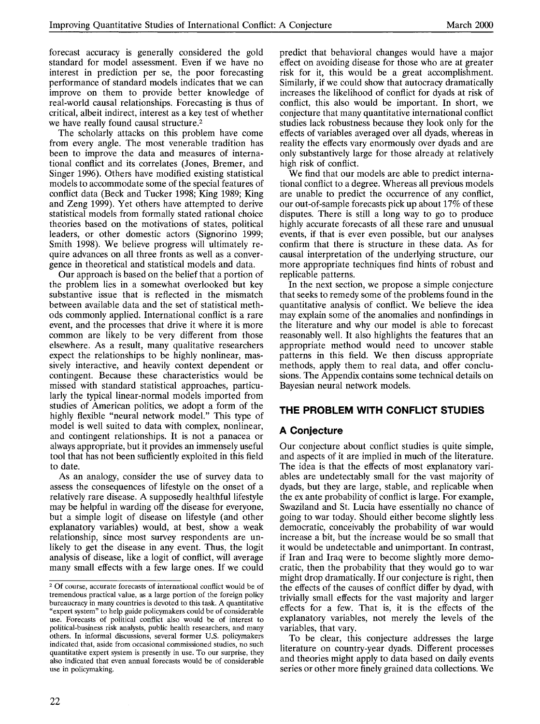forecast accuracy is generally considered the gold standard for model assessment. Even if we have no interest in prediction per se, the poor forecasting performance of standard models indicates that we can improve on them to provide better knowledge of real-world causal relationships. Forecasting is thus of critical, albeit indirect, interest as a key test of whether we have really found causal structure.<sup>2</sup>

The scholarly attacks on this problem have come from every angle. The most venerable tradition has been to improve the data and measures of international conflict and its correlates (Jones, Bremer, and Singer 1996). Others have modified existing statistical models to accommodate some of the special features of conflict data (Beck and Tucker 1998; King 1989; King and Zeng 1999). Yet others have attempted to derive statistical models from formally stated rational choice theories based on the motivations of states, political leaders, or other domestic actors (Signorino 1999; Smith 1998). We believe progress will ultimately require advances on all three fronts as well as a convergence in theoretical and statistical models and data.

Our approach is based on the belief that a portion of the problem lies in a somewhat overlooked but key substantive issue that is reflected in the mismatch between available data and the set of statistical methods commonly applied. International conflict is a rare event, and the processes that drive it where it is more common are likely to be very different from those elsewhere. As a result, many qualitative researchers expect the relationships to be highly nonlinear, massively interactive, and heavily context dependent or contingent. Because these characteristics would be missed with standard statistical approaches, particularly the typical linear-normal models imported from studies of American politics, we adopt a form of the highly flexible "neural network model." This type of model is well suited to data with complex, nonlinear, and contingent relationships. It is not a panacea or always appropriate, but it provides an immensely useful tool that has not been sufficiently exploited in this field to date.

As an analogy, consider the use of survey data to assess the consequences of lifestyle on the onset of a relatively rare disease. A supposedly healthful lifestyle may be helpful in warding off the disease for everyone, but a simple logit of disease on lifestyle (and other explanatory variables) would, at best, show a weak relationship, since most survey respondents are unlikely to get the disease in any event. Thus, the logit analysis of disease, like a logit of conflict, will average many small effects with a few large ones. If we could predict that behavioral changes would have a major effect on avoiding disease for those who are at greater risk for it, this would be a great accomplishment. Similarly, if we could show that autocracy dramatically increases the likelihood of conflict for dyads at risk of conflict, this also would be important. In short, we conjecture that many quantitative international conflict studies lack robustness because they look only for the effects of variables averaged over all dyads, whereas in reality the effects vary enormously over dyads and are only substantively large for those already at relatively high risk of conflict.

We find that our models are able to predict international conflict to a degree. Whereas all previous models are unable to predict the occurrence of any conflict, our out-of-sample forecasts pick up about 17% of these disputes. There is still a long way to go to produce highly accurate forecasts of all these rare and unusual events, if that is ever even possible, but our analyses confirm that there is structure in these data. As for causal interpretation of the underlying structure, our more appropriate techniques find hints of robust and replicable patterns.

In the next section, we propose a simple conjecture that seeks to remedy some of the problems found in the quantitative analysis of conflict. We believe the idea may explain some of the anomalies and nonfindings in the literature and why our model is able to forecast reasonably well. It also highlights the features that an appropriate method would need to uncover stable patterns in this field. We then discuss appropriate methods, apply them to real data, and offer conclusions. The Appendix contains some technical details on Bayesian neural network models.

## **THE PROBLEM WITH CONFLICT STUDIES**

## **A Conjecture**

Our conjecture about conflict studies is quite simple, and aspects of it are implied in much of the literature. The idea is that the effects of most explanatory variables are undetectably small for the vast majority of dyads, but they are large, stable, and replicable when the ex ante probability of conflict is large. For example, Swaziland and St. Lucia have essentially no chance of going to war today. Should either become slightly less democratic, conceivably the probability of war would increase a bit, but the increase would be so small that it would be undetectable and unimportant. In contrast, if Iran and Iraq were to become slightly more democratic, then the probability that they would go to war might drop dramatically. If our conjecture is right, then the effects of the causes of conflict differ by dyad, with trivially small effects for the vast majority and larger effects for a few. That is, it is the effects of the explanatory variables, not merely the levels of the variables, that vary.

To be clear, this conjecture addresses the large literature on country-year dyads. Different processes and theories might apply to data based on daily events series or other more finely grained data collections. We

<sup>&</sup>lt;sup>2</sup> Of course, accurate forecasts of international conflict would be of tremendous practical value, as a large portion of the foreign policy bureaucracy in many countries is devoted to this task. **A** quantitative "expert system" to help guide policymakers could be of considerable use. Forecasts of political conflict also would be of interest to political-business risk analysts, public health researchers, and many others. In informal discussions, several former U.S. policymakers indicated that, aside from occasional commissioned studies, no such quantitative expert system is presently in use. To our surprise, they also indicated that even annual forecasts would be of considerable use in policymaking.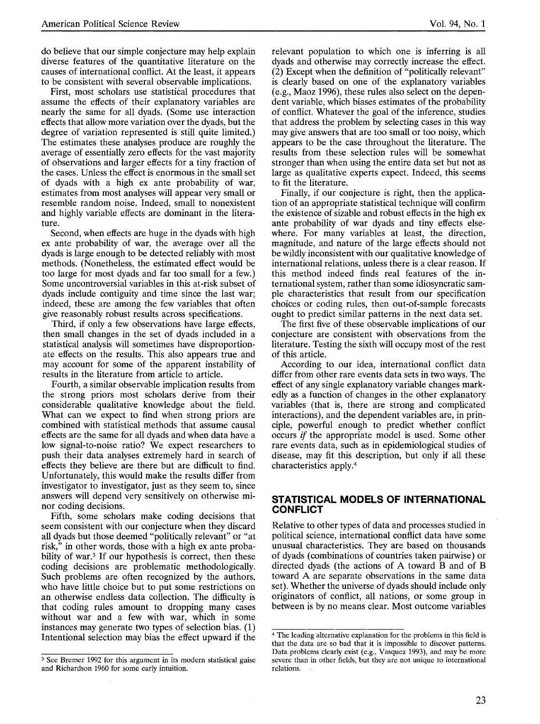do believe that our simple conjecture may help explain diverse features of the quantitative literature on the causes of international conflict. At the least, it appears to be consistent with several observable implications.

First, most scholars use statistical procedures that assume the effects of their explanatory variables are nearly the same for all dyads. (Some use interaction effects that allow more variation over the dyads, but the degree of variation represented is still quite limited.) The estimates these analyses produce are roughly the average of essentially zero effects for the vast majority of observations and larger effects for a tiny fraction of the cases. Unless the effect is enormous in the small set of dyads with a high ex ante probability of war, estimates from most analyses will appear very small or resemble random noise. Indeed, small to nonexistent and highly variable effects are dominant in the literature.

Second, when effects are huge in the dyads with high ex ante probability of war, the average over all the dyads is large enough to be detected reliably with most methods. (Nonetheless, the estimated effect would be too large for most dyads and far too small for a few.) Some uncontroversial variables in this at-risk subset of dyads include contiguity and time since the last war; indeed, these are among the few variables that often give reasonably robust results across specifications.

Third, if only a few observations have large effects, then small changes in the set of dyads included in a statistical analysis will sometimes have disproportionate effects on the results. This also appears true and may account for some of the apparent instability of results in the literature from article to article.

Fourth, a similar observable implication results from the strong priors most scholars derive from their considerable qualitative knowledge about the field. What can we expect to find when strong priors are combined with statistical methods that assume causal effects are the same for all dyads and when data have a low signal-to-noise ratio? We expect researchers to push their data analyses extremely hard in search of effects they believe are there but are difficult to find. Unfortunately, this would make the results differ from investigator to investigator, just as they seem to, since answers will depend very sensitively on otherwise minor coding decisions.

Fifth, some scholars make coding decisions that seem consistent with our conjecture when they discard all dyads but those deemed "politically relevant" or "at risk," in other words, those with a high ex ante probability of war.<sup>3</sup> If our hypothesis is correct, then these coding decisions are problematic methodologically. Such problems are often recognized by the authors, who have little choice but to put some restrictions on an otherwise endless data collection. The difficulty is that coding rules amount to dropping many cases without war and a few with war, which in some instances may generate two types of selection bias. (1) Intentional selection may bias the effect upward if the relevant population to which one is inferring is all dyads and otherwise may correctly increase the effect. (2) Except when the definition of "politically relevant" is clearly based on one of the explanatory variables (e.g., Maoz 1996), these rules also select on the dependent variable, which biases estimates of the probability of conflict. Whatever the goal of the inference, studies that address the problem by selecting cases in this way may give answers that are too small or too noisy, which appears to be the case throughout the literature. The results from these selection rules will be somewhat stronger than when using the entire data set but not as large as qualitative experts expect. Indeed, this seems to fit the literature.

Finally, if our conjecture is right, then the application of an appropriate statistical technique will confirm the existence of sizable and robust effects in the high ex ante probability of war dyads and tiny effects elsewhere. For many variables at least, the direction, magnitude, and nature of the large effects should not be wildly inconsistent with our qualitative knowledge of international relations, unless there is a clear reason. If this method indeed finds real features of the international system, rather than some idiosyncratic sample characteristics that result from our specification choices or coding rules, then out-of-sample forecasts ought to predict similar patterns in the next data set.

The first five of these observable implications of our conjecture are consistent with observations from the literature. Testing the sixth will occupy most of the rest of this article.

According to our idea, international conflict data differ from other rare events data sets in two ways. The effect of any single explanatory variable changes markedly as a function of changes in the other explanatory variables (that is, there are strong and complicated interactions), and the dependent variables are, in principle, powerful enough to predict whether conflict occurs if the appropriate model is used. Some other rare events data, such as in epidemiological studies of disease, may fit this description, but only if all these characteristics apply.4

#### **STATISTICAL MODELS OF INTERNATIONAL CONFLICT**

Relative to other types of data and processes studied in political science, international conflict data have some unusual characteristics. They are based on thousands of dyads (combinations of countries taken pairwise) or directed dyads (the actions of A toward B and of B toward A are separate observations in the same data set). Whether the universe of dyads should include only originators of conflict, all nations, or some group in between is by no means clear. Most outcome variables

<sup>&</sup>lt;sup>3</sup> See Bremer 1992 for this argument in its modern statistical guise and Richardson 1960 for some early intuition.

The leading alternative explanation for the problems in this field is that the data are so bad that it is impossible to discover patterns. Data problems clearly exist (e.g., Vasquez 1993), and may be more severe than in other fields, but they are not unique to international relations.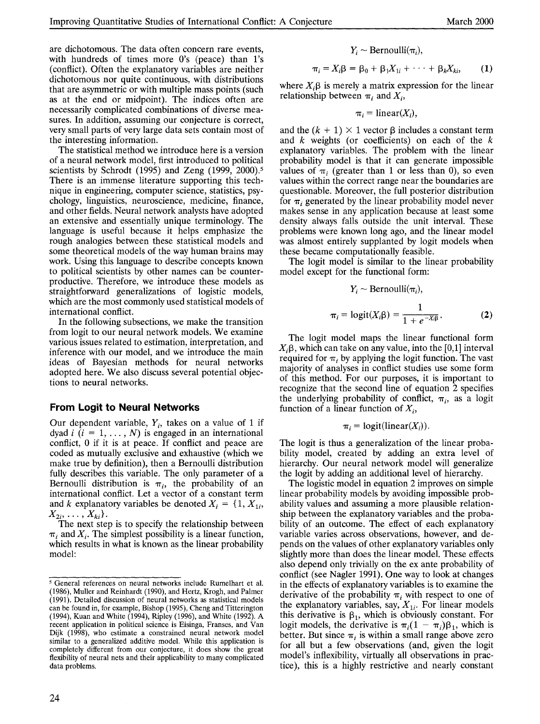are dichotomous. The data often concern rare events, with hundreds of times more 0's (peace) than 1's (conflict). Often the explanatory variables are neither dichotomous nor quite continuous, with distributions that are asymmetric or with multiple mass points (such

as at the end or midpoint). The indices often are necessarily complicated combinations of diverse measures. In addition, assuming our conjecture is correct, very small parts of very large data sets contain most of the interesting information.

The statistical method we introduce here is a version of a neural network model, first introduced to political scientists by Schrodt (1995) and Zeng (1999, 2000).5 There is an immense literature supporting this technique in engineering, computer science, statistics, psychology, linguistics, neuroscience, medicine, finance, and other fields. Neural network analysts have adopted an extensive and essentially unique terminology. The language is useful because it helps emphasize the rough analogies between these statistical models and some theoretical models of the way human brains may work. Using this language to describe concepts known to political scientists by other names can be counterproductive. Therefore, we introduce these models as straightfonvard generalizations of logistic models, which are the most commonly used statistical models of international conflict.

In the following subsections, we make the transition from logit to our neural network models. We examine various issues related to estimation, interpretation, and inference with our model, and we introduce the main ideas of Bayesian methods for neural networks adopted here. We also discuss several potential objections to neural networks.

#### **From Logit to Neural Networks**

Our dependent variable,  $Y_i$ , takes on a value of 1 if dyad  $i$  ( $i = 1, ..., N$ ) is engaged in an international conflict, 0 if it is at peace. If conflict and peace are coded as mutually exclusive and exhaustive (which we make true by definition), then a Bernoulli distribution fully describes this variable. The only parameter of a Bernoulli distribution is  $\pi_i$ , the probability of an international conflict. Let a vector of a constant term and k explanatory variables be denoted  $X_i = \{1, X_{1i},\}$  $X_{2i}, \ldots, X_{ki}\}.$ 

The next step is to specify the relationship between  $\pi_i$  and  $X_i$ . The simplest possibility is a linear function, which results in what is known as the linear probability model:

$$
Y_i \sim \text{Bernoulli}(\pi_i),
$$

$$
\pi_i = X_i \beta = \beta_0 + \beta_1 X_{1i} + \cdots + \beta_k X_{ki}, \qquad (1)
$$

where  $X_i\beta$  is merely a matrix expression for the linear relationship between  $\pi_i$  and  $X_i$ ,

$$
\pi_i = linear(X_i),
$$

and the  $(k + 1) \times 1$  vector  $\beta$  includes a constant term and  $k$  weights (or coefficients) on each of the  $k$ explanatory variables. The problem with the linear probability model is that it can generate impossible values of  $\pi_i$  (greater than 1 or less than 0), so even values within the correct range near the boundaries are questionable. Moreover, the full posterior distribution for  $\pi_i$  generated by the linear probability model never makes sense in any application because at least some density always falls outside the unit interval. These problems were known long ago, and the linear model was almost entirely supplanted by logit models when these became computationally feasible.

The logit model is similar to the linear probability model except for the functional form:

$$
Y_i \sim \text{Bernoulli}(\pi_i),
$$
  

$$
\pi_i = \text{logit}(X_i \beta) = \frac{1}{1 + e^{-X_i \beta}}.
$$
 (2)

The logit model maps the linear functional form  $X_i\beta$ , which can take on any value, into the [0,1] interval required for  $\pi_i$  by applying the logit function. The vast majority of analyses in conflict studies use some form of this method. For our purposes, it is important to recognize that the second line of equation 2 specifies the underlying probability of conflict,  $\pi_i$ , as a logit function of a linear function of  $X_i$ ,

$$
\pi_i = \text{logit}(\text{linear}(X_i)).
$$

The logit is thus a generalization of the linear probability model, created by adding an extra level of hierarchy. Our neural network model will generalize the logit by adding an additional level of hierarchy.

The logistic model in equation 2 improves on simple linear probability models by avoiding impossible probability values and assuming a more plausible relationship between the explanatory variables and the probability of an outcome. The effect of each explanatory variable varies across observations, however, and depends on the values of other explanatory variables only slightly more than does the linear model. These effects also depend only trivially on the ex ante probability of conflict (see Nagler 1991). One way to look at changes in the effects of explanatory variables is to examine the derivative of the probability  $\pi_i$  with respect to one of the explanatory variables, say,  $X_{1i}$ . For linear models this derivative is  $\beta_1$ , which is obviously constant. For logit models, the derivative is  $\pi_i(1 - \pi_i)\beta_1$ , which is better. But since  $\pi_i$  is within a small range above zero for all but a few observations (and, given the logit model's inflexibility, virtually all observations in practice), this is a highly restrictive and nearly constant

<sup>5</sup> General references on neural networks include Rumelhart et al. (1986), Muller and Reinhardt (1990), and Hertz, Krogh, and Palmer (1991). Detailed discussion of neural networks as statistical models can be found in, for example, Bishop (1995), Cheng and Titterington (1994), Kuan and White (1994), Ripley (1996), and White (1992). **A**  recent application in political science is Eisinga, Franses, and Van Dijk (1998), who estimate a constrained neural network model similar to a generalized additive model. While this application is completely different from our conjecture, it does show the great flexibility of neural nets and their applicability to many complicated data problems.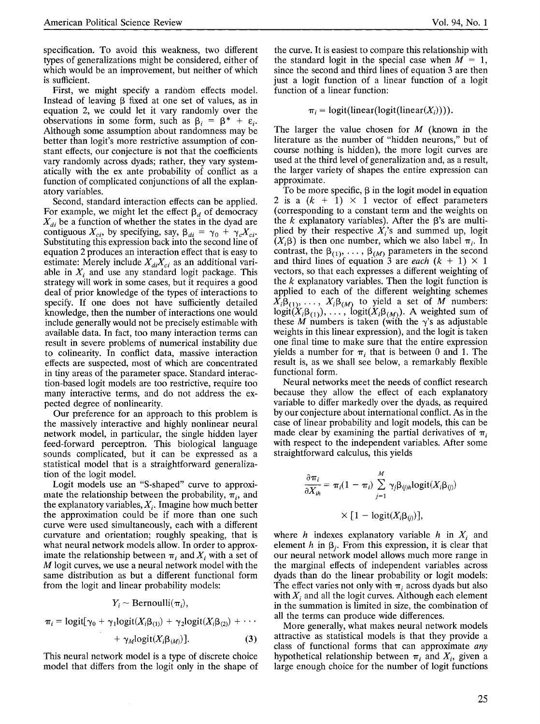specification. To avoid this weakness, two different types of generalizations might be considered, either of which would be an improvement, but neither of which is sufficient.

First, we might specify a random effects model. Instead of leaving  $\beta$  fixed at one set of values, as in equation 2, we could let it vary randomly over the observations in some form, such as  $\beta_i = \beta^* + \varepsilon_i$ . Although some assumption about randomness may be better than logit's more restrictive assumption of constant effects, our conjecture is not that the coefficients vary randomly across dyads; rather, they vary systematically with the ex ante probability of conflict as a function of complicated conjunctions of all the explanatory variables.

Second, standard interaction effects can be applied. For example, we might let the effect  $\beta_d$  of democracy  $X_{di}$  be a function of whether the states in the dyad are contiguous  $X_{ci}$ , by specifying, say,  $\beta_{di} = \gamma_0 + \gamma_c X_{ci}$ . Substituting this expression back into the second line of equation 2 produces an interaction effect that is easy to estimate: Merely include  $X_{di}X_{ci}$  as an additional variable in  $X_i$  and use any standard logit package. This strategy will work in some cases, but it requires a good deal of prior knowledge of the types of interactions to specify. If one does not have sufficiently detailed knowledge, then the number of interactions one would include generally would not be precisely estimable with available data. In fact, too many interaction terms can result in severe problems of numerical instability due to colinearity. In conflict data, massive interaction effects are suspected, most of which are concentrated in tiny areas of the parameter space. Standard interaction-based logit models are too restrictive, require too many interactive terms, and do not address the expected degree of nonlinearity.

Our preference for an approach to this problem is the massively interactive and highly nonlinear neural network model, in particular, the single hidden layer feed-forward perceptron. This biological language sounds complicated, but it can be expressed as a statistical model that is a straightforward generalization of the logit model.

Logit models use an "S-shaped" curve to approximate the relationship between the probability,  $\pi_i$ , and the explanatory variables,  $X_i$ . Imagine how much better the approximation could be if more than one such curve were used simultaneously, each with a different curvature and orientation; roughly speaking, that is what neural network models allow. In order to approximate the relationship between  $\pi_i$  and  $X_i$  with a set of M logit curves, we use a neural network model with the same distribution as but a different functional form from the logit and linear probability models:

$$
Y_i \sim \text{Bernoulli}(\pi_i),
$$
  
\n
$$
\pi_i = \text{logit}[\gamma_0 + \gamma_1 \text{logit}(X_i \beta_{(1)}) + \gamma_2 \text{logit}(X_i \beta_{(2)}) + \cdots
$$
  
\n
$$
+ \gamma_M \text{logit}(X_i \beta_{(M)})]. \tag{3}
$$

This neural network model is a type of discrete choice model that differs from the logit only in the shape of the curve. It is easiest to compare this relationship with the standard logit in the special case when  $M = 1$ , since the second and third lines of equation **3** are then just a logit function of a linear function of a logit function of a linear function:

$$
\pi_i = \text{logit}(\text{linear}(\text{logit}(\text{linear}(X_i))))
$$

The larger the value chosen for  $M$  (known in the literature as the number of "hidden neurons," but of course nothing is hidden), the more logit curves are used at the third level of generalization and, as a result, the larger variety of shapes the entire expression can approximate.

To be more specific,  $\beta$  in the logit model in equation 2 is a  $(k + 1) \times 1$  vector of effect parameters (corresponding to a constant term and the weights on the  $k$  explanatory variables). After the  $\beta$ 's are multiplied by their respective  $X_i$ 's and summed up, logit  $(X_i\beta)$  is then one number, which we also label  $\pi_i$ . In contrast, the  $\beta_{(1)}, \ldots, \beta_{(M)}$  parameters in the second and third lines of equation 3 are *each*  $(k + 1) \times 1$ vectors, so that each expresses a different weighting of the  $k$  explanatory variables. Then the logit function is applied to each of the different weighting schemes  $X_i\beta_{(1)}, \ldots, X_i\beta_{(M)}$  to yield a set of M numbers:  $logit(X_i\beta_{(1)}), \ldots$ , logit $(X_i\beta_{(M)})$ . A weighted sum of these M numbers is taken (with the  $\gamma$ 's as adjustable weights in this linear expression), and the logit is taken one final time to make sure that the entire expression yields a number for  $\pi_i$ , that is between 0 and 1. The result is, as we shall see below, a remarkably flexible functional form.

Neural networks meet the needs of conflict research because they allow the effect of each explanatory variable to differ markedly over the dyads, as required by our conjecture about international conflict. As in the case of linear probability and logit models, this can be made clear by examining the partial derivatives of  $\pi_i$ with respect to the independent variables. After some straightforward calculus, this yields

$$
\frac{\partial \pi_i}{\partial X_{ih}} = \pi_i (1 - \pi_i) \sum_{j=1}^{M} \gamma_j \beta_{(j)h} \text{logit}(X_i \beta_{(j)})
$$

$$
\times [1 - \text{logit}(X_i \beta_{(j)})],
$$

where *h* indexes explanatory variable *h* in  $X_i$  and element *h* in  $\beta_i$ . From this expression, it is clear that our neural network model allows much more range in the marginal effects of independent variables across dyads than do the linear probability or logit models: The effect varies not only with  $\pi_i$  across dyads but also with  $X_i$  and all the logit curves. Although each element in the summation is limited in size, the combination of all the terms can produce wide differences.

More generally, what makes neural network models attractive as statistical models is that they provide a class of functional forms that can approximate *any*  hypothetical relationship between  $\pi_i$  and  $X_i$ , given a large enough choice for the number of logit functions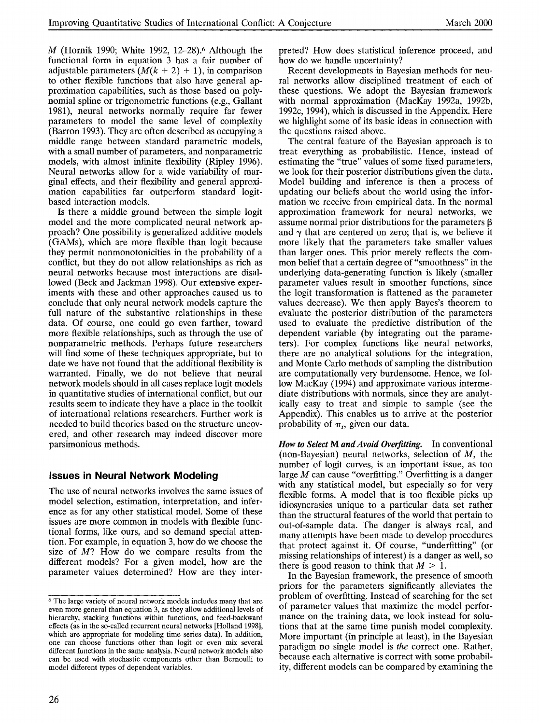$M$  (Hornik 1990; White 1992, 12-28).<sup>6</sup> Although the functional form in equation 3 has a fair number of adjustable parameters  $(M(k + 2) + 1)$ , in comparison to other flexible functions that also have general approximation capabilities, such as those based on polynomial spline or trigonometric functions (e.g., Gallant 1981), neural networks normally require far fewer parameters to model the same level of complexity (Barron 1993). They are often described as occupying a middle range between standard parametric models, with a small number of parameters, and nonparametric models, with almost infinite flexibility (Ripley 1996). Neural networks allow for a wide variability of marginal effects, and their flexibility and general approximation capabilities far outperform standard logitbased interaction models.

Is there a middle ground between the simple logit model and the more complicated neural network approach? One possibility is generalized additive models (GAMs), which are more flexible than logit because they permit nonmonotonicities in the probability of a conflict, but they do not allow relationships as rich as neural networks because most interactions are disallowed (Beck and Jackrnan 1998). Our extensive experiments with these and other approaches caused us to conclude that only neural network models capture the full nature of the substantive relationships in these data. Of course, one could go even farther, toward more flexible relationships, such as through the use of nonparametric methods. Perhaps future researchers will find some of these techniques appropriate, but to date we have not found that the additional flexibility is warranted. Finally, we do not believe that neural network models should in all cases replace logit models in quantitative studies of international conflict, but our results seem to indicate they have a place in the toolkit of international relations researchers. Further work is needed to build theories based on the structure uncovered, and other research may indeed discover more parsimonious methods.

## **Issues in Neural Network Modeling**

The use of neural networks involves the same issues of model selection, estimation, interpretation, and inference as for any other statistical model. Some of these issues are more common in models with flexible functional forms, like ours, and so demand special attention. For example, in equation **3,** how do we choose the size of  $M$ ? How do we compare results from the different models? For a given model, how are the parameter values determined? How are they interpreted? How does statistical inference proceed, and how do we handle uncertainty?

Recent developments in Bayesian methods for neural networks allow disciplined treatment of each of these questions. We adopt the Bayesian framework with normal approximation (MacKay 1992a, 1992b, 1992c, 1994), which is discussed in the Appendix. Here we highlight some of its basic ideas in connection with the questions raised above.

The central feature of the Bayesian approach is to treat everything as probabilistic. Hence, instead of estimating the "true" values of some fixed parameters, we look for their posterior distributions given the data. Model building and inference is then a process of updating our beliefs about the world using the information we receive from empirical data. In the normal approximation framework for neural networks, we assume normal prior distributions for the parameters  $\beta$ and  $\gamma$  that are centered on zero; that is, we believe it more likely that the parameters take smaller values than larger ones. This prior merely reflects the common belief that a certain degree of "smoothness" in the underlying data-generating function is likely (smaller parameter values result in smoother functions, since the logit transformation is flattened as the parameter values decrease). We then apply Bayes's theorem to evaluate the posterior distribution of the parameters used to evaluate the predictive distribution of the dependent variable (by integrating out the parameters). For complex functions like neural networks, there are no analytical solutions for the integration, and Monte Carlo methods of sampling the distribution are computationally very burdensome. Hence, we follow MacKay (1994) and approximate various intermediate distributions with normals, since they are analytically easy to treat and simple to sample (see the Appendix). This enables us to arrive at the posterior probability of  $\pi_i$ , given our data.

*How to Select M and Avoid Overfitting.* In conventional (non-Bayesian) neural networks, selection of M, the number of logit curves, is an important issue, as too large  $M$  can cause "overfitting." Overfitting is a danger with any statistical model, but especially so for very flexible forms. A model that is too flexible picks up idiosyncrasies unique to a particular data set rather than the structural features of the world that pertain to out-of-sample data. The danger is always real, and many attempts have been made to develop procedures that protect against it. Of course, "underfitting" (or missing relationships of interest) is a danger as well, so there is good reason to think that  $M > 1$ .

In the Bayesian framework, the presence of smooth priors for the parameters significantly alleviates the problem of overfitting. Instead of searching for the set of parameter values that maximize the model performance on the training data, we look instead for solutions that at the same time punish model complexity. More important (in principle at least), in the Bayesian paradigm no single model is *the* correct one. Rather, because each alternative is correct with some probability, different models can be compared by examining the

The large variety of neural network models includes many that are even more general than equation 3, as they allow additional levels of hierarchy, stacking functions within functions, and feed-backward effects (as in the so-called recurrent neural networks [Holland 19981, which are appropriate for modeling time series data). In addition, one can choose functions other than logit or even mix several different functions in the same analysis. Neural network models also can be used with stochastic components other than Bernoulli to model different types of dependent variables.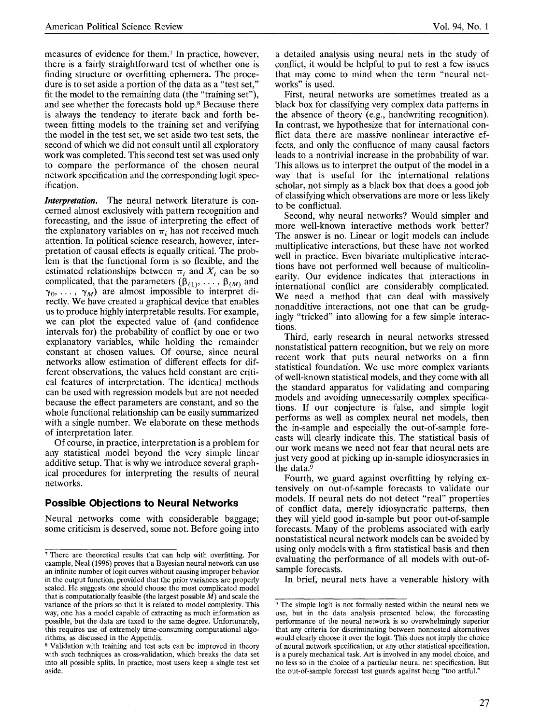measures of evidence for them.7 In practice, however, there is a fairly straightforward test of whether one is finding structure or overfitting ephemera. The procedure is to set aside a portion of the data as a "test set," fit the model to the remaining data (the "training set"), and see whether the forecasts hold up.8 Because there is always the tendency to iterate back and forth between fitting models to the training set and verifying the model in the test set, we set aside two test sets, the second of which we did not consult until all exploratory work was completed. This second test set was used only to compare the performance of the chosen neural network specification and the corresponding logit specification.

*Interpretation.* The neural network literature is concerned almost exclusively with pattern recognition and forecasting, and the issue of interpreting the effect of the explanatory variables on  $\pi_i$  has not received much attention. In political science research, however, interpretation of causal effects is equally critical. The problem is that the functional form is so flexible, and the estimated relationships between  $\pi_i$  and  $X_i$  can be so complicated, that the parameters  $(\beta_{(1)}, \ldots, \beta_{(M)})$  and  $\gamma_0, \ldots, \gamma_M$ ) are almost impossible to interpret directly. We have created a graphical device that enables us to produce highly interpretable results. For example, we can plot the expected value of (and confidence intervals for) the probability of conflict by one or two explanatory variables, while holding the remainder constant at chosen values. Of course, since neural networks allow estimation of different effects for different observations, the values held constant are critical features of interpretation. The identical methods can be used with regression models but are not needed because the effect parameters are constant, and so the whole functional relationship can be easily summarized with a single number. We elaborate on these methods of interpretation later.

Of course, in practice, interpretation is a problem for any statistical model beyond the very simple linear additive setup. That is why we introduce several graphical procedures for interpreting the results of neural networks.

#### **Possible Objections to Neural Networks**

Neural networks come with considerable baggage; some criticism is deserved, some not. Before going into

a detailed analysis using neural nets in the study of conflict, it would be helpful to put to rest a few issues that may come to mind when the term "neural networks" is used.

First, neural networks are sometimes treated as a black box for classifying very complex data patterns in the absence of theory (e.g., handwriting recognition). In contrast, we hypothesize that for international conflict data there are massive nonlinear interactive effects, and only the confluence of many causal factors leads to a nontrivial increase in the probability of war. This allows us to interpret the output of the model in a way that is useful for the international relations scholar, not simply as a black box that does a good job of classifying which observations are more or less likely to be conflictual.

Second, why neural networks? Would simpler and more well-known interactive methods work better? The answer is no. Linear or logit models can include multiplicative interactions, but these have not worked well in practice. Even bivariate multiplicative interactions have not performed well because of multicolinearity. Our evidence indicates that interactions in international conflict are considerably complicated. We need a method that can deal with massively nonadditive interactions, not one that can be grudgingly "tricked" into allowing for a few simple interactions.

Third, early research in neural networks stressed nonstatistical pattern recognition, but we rely on more recent work that puts neural networks on a firm statistical foundation. We use more complex variants of well-known statistical models, and they come with all the standard apparatus for validating and comparing models and avoiding unnecessarily complex specifications. If our conjecture is false, and simple logit performs as well as complex neural net models, then the in-sample and especially the out-of-sample forecasts will clearly indicate this. The statistical basis of our work means we need not fear that neural nets are just very good at picking up in-sample idiosyncrasies in the data.<sup>9</sup>

Fourth, we guard against overfitting by relying extensively on out-of-sample forecasts to validate our models. If neural nets do not detect "real" properties of conflict data, merely idiosyncratic patterns, then they will yield good in-sample but poor out-of-sample forecasts. Many of the problems associated with early nonstatistical neural network models can be avoided by using only models with a firm statistical basis and then evaluating the performance of all models with out-ofsample forecasts.

In brief, neural nets have a venerable history with

There are theoretical results that can help with overfitting. For example, Neal (1996) proves that a Bayesian neural network can use an infinite number of logit curves without causing improper behavior in the output function, provided that the prior variances are properly scaled. He suggests one should choose the most complicated model that is computationally feasible (the largest possible  $\overline{M}$ ) and scale the variance of the priors so that it is related to model complexity. This way, one has a model capable of extracting as much information as possible, but the data are taxed to the same degree. Unfortunately, this requires use of extremely time-consuming computational algorithms, as discussed in the Appendix.

Validation with training and test sets can be improved in theory with such techniques as cross-validation, which breaks the data set into all possible splits. In practice, most users keep a single test set aside.

**<sup>9</sup>**The simple logit is not formally nested within the neural nets we use, but in the data analysis presented below, the forecasting performance of the neural network is so overwhelmingly superior that any criteria for discriminating between nonnested alternatives would clearly choose it over the logit. This does not imply the choice of neural network specification, or any other statistical specification, is a purely mechanical task. Art is involved in any model choice, and no less so in the choice of a particular neural net specification. But the out-of-sample forecast test guards against being "too artful."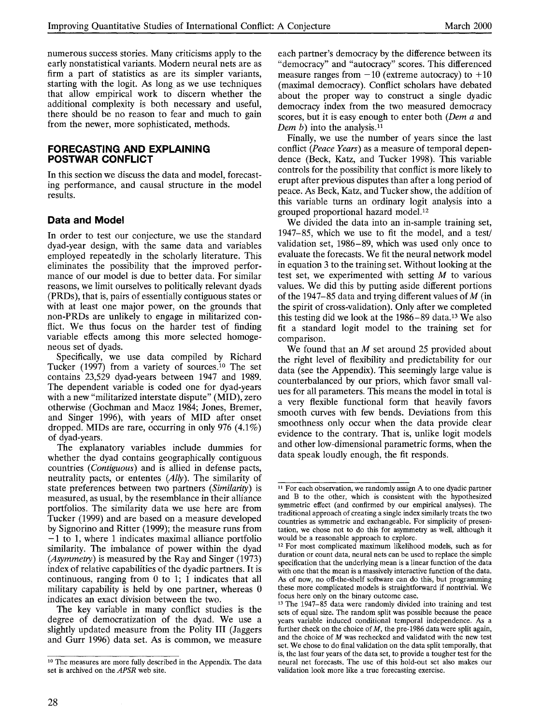numerous success stories. Many criticisms apply to the early nonstatistical variants. Modern neural nets are as firm a part of statistics as are its simpler variants, starting with the logit. As long. as we use techniques that allow empirical work to discern whether the additional complexity is both necessary and useful, there should be no reason to fear and much to gain from the newer, more sophisticated, methods.

#### **FORECASTING AND EXPLAINING POSTWAR CONFLICT**

In this section we discuss the data and model, forecasting performance, and causal structure in the model results.

## **Data and Model**

In order to test our conjecture, we use the standard dyad-year design, with the same data and variables employed repeatedly in the scholarly literature. This eliminates the possibility that the improved performance of our model is due to better data. For similar reasons, we limit ourselves to politically relevant dyads (PRDs), that is, pairs of essentially contiguous states or with at least one major power, on the grounds that non-PRDs are unlikely to engage in militarized conflict. We thus focus on the harder test of finding variable effects among this more selected homogeneous set of dyads.

Specifically, we use data compiled by Richard Tucker (1997) from a variety of sources.<sup>10</sup> The set contains 23,529 dyad-years between 1947 and 1989. The dependent variable is coded one for dyad-years with a new "militarized interstate dispute" (MID), zero otherwise (Gochman and Maoz 1984; Jones, Bremer, and Singer 1996), with years of MID after onset dropped. MIDs are rare, occurring in only 976 (4.1%) of dyad-years.

The explanatory variables include dummies for whether the dyad contains geographically contiguous countries (Contiguous) and is allied in defense pacts, neutrality pacts, or ententes (Ally). The similarity of state preferences between two partners (Similarity) is measured, as usual, by the resemblance in their alliance portfolios. The similarity data we use here are from Tucker (1999) and are based on a measure developed by Signorino and Ritter (1999); the measure runs from  $-1$  to 1, where 1 indicates maximal alliance portfolio similarity. The imbalance of power within the dyad (Asymmetry) is measured by the Ray and Singer (1973) index of relative capabilities of the dyadic partners. It is continuous, ranging from 0 to 1; 1 indicates that all military capability is held by one partner, whereas 0 indicates an exact division between the two.

The key variable in many conflict studies is the degree of democratization of the dyad. We use a slightly updated measure from the Polity I11 (Jaggers and Gurr 1996) data set. As is common, we measure each partner's democracy by the difference between its "democracy~' and "autocracy" scores. This differenced measure ranges from  $-10$  (extreme autocracy) to  $+10$ (maximal democracy). Conflict scholars have debated about the proper way to construct a single dyadic democracy index from the two measured democracy scores, but it is easy enough to enter both (Dem a and Dem b) into the analysis.<sup>11</sup>

Finally, we use the number of years since the last conflict (Peace Years) as a measure of temporal dependence (Beck, Katz, and Tucker 1998). This variable controls for the possibility that conflict is more likely to erupt after previous disputes than after a long period of peace. As Beck, Katz, and Tucker show, the addition of this variable turns an ordinary logit analysis into a grouped proportional hazard model.12

We divided the data into an in-sample training set, 1947-85, which we use to fit the model, and a test/ validation set, 1986-89, which was used only once to evaluate the forecasts. We fit the neural network model in equation 3 to the training set. Without looking at the test set, we experimented with setting  $M$  to various values. We did this by putting aside different portions of the 1947–85 data and trying different values of  $M$  (in the spirit of cross-validation). Only after we completed this testing did we look at the 1986-89 data.13 We also fit a standard logit model to the training set for comparison.

We found that an *M* set around 25 provided about the right level of flexibility and predictability for our data (see the Appendix). This seemingly large value is counterbalanced by our priors, which favor small values for all parameters. This means the model in total is a very flexible functional form that heavily favors smooth curves with few bends. Deviations from this smoothness only occur when the data provide clear evidence to the contrary. That is, unlike logit models and other low-dimensional parametric forms, when the data speak loudly enough, the fit responds.

<sup>&</sup>lt;sup>10</sup> The measures are more fully described in the Appendix. The data set is archived on the APSR web site.

**l1** For each observation, we randomly assign A to one dyadic partner and B to the other, which is consistent with the hypothesized symmetric effect (and confirmed by our empirical analyses). The traditional approach of creating a single index similarly treats the two countries as symmetric and exchangeable. For simplicity of presentation, we chose not to do this for asymmetry as well, although it would be a reasonable approach to explore.

l2 For most complicated maximum likelihood models, such as for duration or count data, neural nets can be used to replace the simple specification that the underlying mean is a linear function of the data with one that the mean is a massively interactive function of the data. **As** of now, no off-the-shelf software can do this, but programming these more complicated models is straightfonvard if nontrivial. We focus here only on the binary outcome case.

**l3** The 1947-85 data were randomly divided into training and test sets of equal size. The random split was possible because the peace years variable induced conditional temporal independence. **As** a further check on the choice of  $M$ , the pre-1986 data were split again, and the choice of M was rechecked and validated with the new test set. We chose to do final validation on the data split temporally, that is, the last four years of the data set, to provide a tougher test for the neural net forecasts. The use of this hold-out set also makes our validation look more like a true forecasting exercise.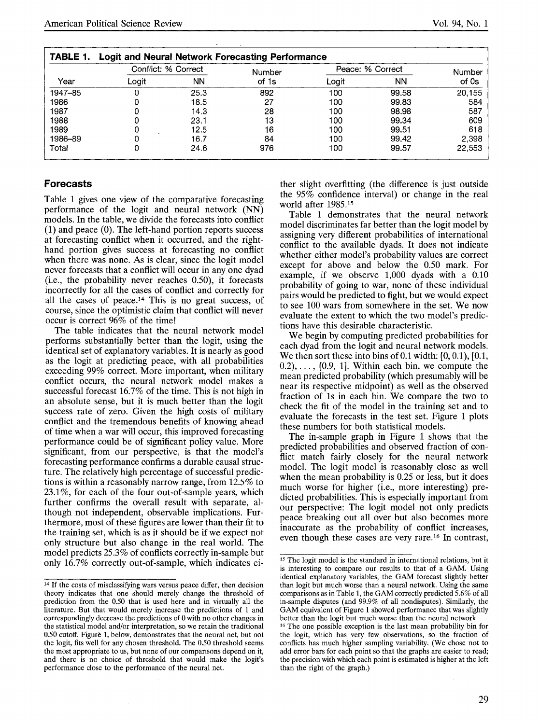| Year    | Conflict: % Correct |      | <b>Number</b> | Peace: % Correct |       | Number |
|---------|---------------------|------|---------------|------------------|-------|--------|
|         | Logit               | NΝ   | of 1s         | Logit            | ΝN    | of 0s  |
| 1947-85 |                     | 25.3 | 892           | 100              | 99.58 | 20,155 |
| 1986    |                     | 18.5 | 27            | 100              | 99.83 | 584    |
| 1987    |                     | 14.3 | 28            | 100              | 98.98 | 587    |
| 1988    |                     | 23.1 | 13            | 100              | 99.34 | 609    |
| 1989    |                     | 12.5 | 16            | 100              | 99.51 | 618    |
| 1986–89 |                     | 16.7 | 84            | 100              | 99.42 | 2,398  |
| Total   |                     | 24.6 | 976           | 100              | 99.57 | 22,553 |

|  | TABLE 1. Logit and Neural Network Forecasting Performance |  |
|--|-----------------------------------------------------------|--|
|  |                                                           |  |

## **Forecasts**

Table 1 gives one view of the comparative forecasting performance of the logit and neural network (NN) models. In the table, we divide the forecasts into conflict (1) and peace (0). The left-hand portion reports success at forecasting conflict when it occurred, and the righthand portion gives success at forecasting no conflict when there was none. As is clear, since the logit model never forecasts that a conflict will occur in any one dyad (i.e., the probability never reaches 0.50), it forecasts incorrectly for all the cases of conflict and correctly for all the cases of peace.14 This is no great success, of course, since the optimistic claim that conflict will never occur is correct 96% of the time!

The table indicates that the neural network model performs substantially better than the logit, using the identical set of explanatory variables. It is nearly as good as the logit at predicting peace, with all probabilities exceeding 99% correct. More important, when military conflict occurs, the neural network model makes a successful forecast 16.7% of the time. This is not high in an absolute sense, but it is much better than the logit success rate of zero. Given the high costs of military conflict and the tremendous benefits of knowing ahead of time when a war will occur, this improved forecasting performance could be of significant policy value. More significant, from our perspective, is that the model's forecasting performance confirms a durable causal structure. The relatively high percentage of successful predictions is within a reasonably narrow range, from 12.5% to 23.1%, for each of the four out-of-sample years, which further confirms the overall result with separate, although not independent, observable implications. Furthermore, most of these figures are lower than their fit to the training set, which is as it should be if we expect not only structure but also change in the real world. The model predicts 25.3% of conflicts correctly in-sample but only 16.7% correctly out-of-sample, which indicates either slight overfitting (the difference is just outside the 95% confidence interval) or change in the real world after 1985.15

Table 1 demonstrates that the neural network model discriminates far better than the logit model by assigning very different probabilities of international conflict to the available dyads. It does not indicate whether either model's probability values are correct except for above and below the 0.50 mark. For example, if we observe 1,000 dyads with a 0.10 probability of going to war, none of these individual pairs would be predicted to fight, but we would expect to see 100 wars from somewhere in the set. We now evaluate the extent to which the two model's predictions have this desirable characteristic.

We begin by computing predicted probabilities for each dyad from the logit and neural network models. We then sort these into bins of  $0.1$  width:  $[0, 0.1)$ ,  $[0.1, 0.1]$  $(0.2), \ldots, [0.9, 1]$ . Within each bin, we compute the mean predicted probability (which presumably will be near its respective midpoint) as well as the observed fraction of 1s in each bin. We compare the two to check the fit of the model in the training set and to evaluate the forecasts in the test set. Figure 1 plots these numbers for both statistical models.

The in-sample graph in Figure 1 shows that the predicted probabilities and observed fraction of conflict match fairly closely for the neural network model. The logit model is reasonably close as well when the mean probability is 0.25 or less, but it does much worse for higher (i.e., more interesting) predicted probabilities. This is especially important from our perspective: The logit model not only predicts peace breaking out all over but also becomes more inaccurate as the probability of conflict increases, even though these cases are very rare.16 In contrast,

**l4** If the costs of misclassifying wars versus peace differ, then decision theory indicates that one should merely change the threshold of prediction from the 0.50 that is used here and in virtually all the literature. But that would merely increase the predictions of 1 and correspondingly decrease the predictions of 0 with no other changes in the statistical model and/or interpretation, so we retain the traditional 0.50 cutoff. Figure 1, below, demonstrates that the neural net, but not the logit, fits well for any chosen threshold. The 0.50 threshold seems the most appropriate to us, but none of our comparisons depend on it, and there is no choice of threshold that would make the logit's performance close to the performance of the neural net.

<sup>&</sup>lt;sup>15</sup> The logit model is the standard in international relations, but it is interesting to compare our results to that of a GAM. Using identical explanatory variables, the GAM forecast slightly better than logit but much worse than a neural network. Using the same comparisons as in Table 1, the GAM correctly predicted 5.6% of all in-sample disputes (and 99.9% of all nondisputes). Similarly, the GAM equivalent of Figure 1 showed performance that was slightly better than the logit but much worse than the neural network.

<sup>&</sup>lt;sup>16</sup> The one possible exception is the last mean probability bin for the logit, which has very few observations, so the fraction of conflicts has much higher sampling variability. (We chose not to add error bars for each point so that the graphs are easier to read; the precision with which each point is estimated is higher at the left than the right of the graph.)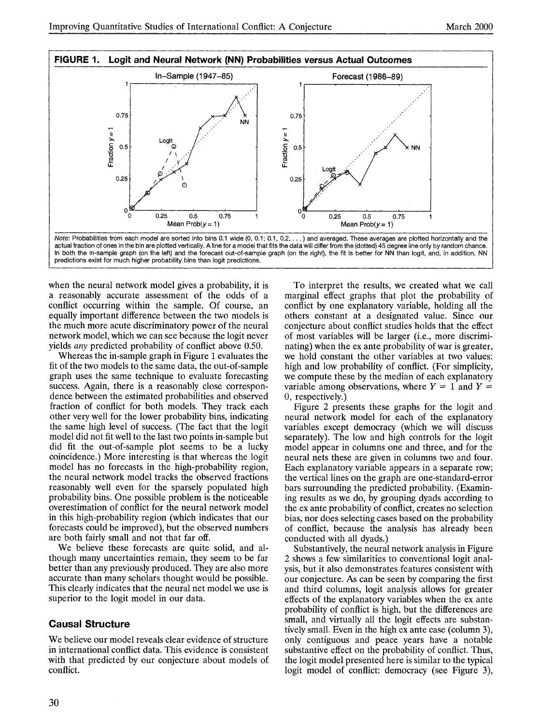

predictions exist for much higher probability bins than logit predictions.

when the neural network model gives a probability, it is a reasonably accurate assessment of the odds of a conflict occurring within the sample. Of course, an equally important difference between the two models is the much more acute discriminatory power of the neural network model, which we can see because the logit never yields any predicted probability of conflict above 0.50.

Whereas the in-sample graph in Figure 1 evaluates the fit of the two models to the same data, the out-of-sample graph uses the same technique to evaluate forecasting success. Again, there is a reasonably close correspondence between the estimated probabilities and observed fraction of conflict for both models. They track each other very well for the lower probability bins, indicating the same high level of success. (The fact that the logit model did not fit well to the last two points in-sample but did fit the out-of-sample plot seems to be a lucky coincidence.) More interesting is that whereas the logit model has no forecasts in the high-probability region, the neural network model tracks the observed fractions reasonably well even for the sparsely populated high probability bins. One possible problem is the noticeable overestimation of conflict for the neural network model in this high-probability region (which indicates that our forecasts could be improved), but the observed numbers are both fairly small and not that far off.

We believe these forecasts are quite solid, and although many uncertainties remain, they seem to be far better than any previously produced. They are also more accurate than many scholars thought would be possible. This clearly indicates that the neural net model we use is superior to the logit model in our data.

## **Causal Structure**

We believe our model reveals clear evidence of structure in international conflict data. This evidence is consistent with that predicted by our conjecture about models of conflict.

To interpret the results, we created what we call marginal effect graphs that plot the probability of conflict by one explanatory variable, holding all the others constant at a designated value. Since our conjecture about conflict studies holds that the effect of most variables will be larger (i.e., more discriminating) when the ex ante probability of war is greater, we hold constant the other variables at two values: high and low probability of conflict. (For simplicity, we compute these by the median of each explanatory variable among observations, where  $Y = 1$  and  $Y =$ 0, respectively.)

Figure 2 presents these graphs for the logit and neural network model for each of the explanatory variables except democracy (which we will discuss separately). The low and high controls for the logit model appear in columns one and three, and for the neural nets these are given in columns two and four. Each explanatory variable appears in a separate row; the vertical lines on the graph are one-standard-error bars surrounding the predicted probability. (Examining results as we do, by grouping dyads according to the ex ante probability of conflict, creates no selection bias, nor does selecting cases based on the probability of conflict, because the analysis has already been conducted with all dyads.)

Substantively, the neural network analysis in Figure 2 shows a few similarities to conventional logit analysis, but it also demonstrates features consistent with our conjecture. As can be seen by comparing the first and third columns, logit analysis allows for greater effects of the explanatory variables when the ex ante probability of conflict is high, but the differences are small, and virtually all the logit effects are substantively small. Even in the high ex ante case (column 3), only contiguous and peace years have a notable substantive effect on the probability of conflict. Thus, the logit model presented here is similar to the typical logit model of conflict: democracy (see Figure 3),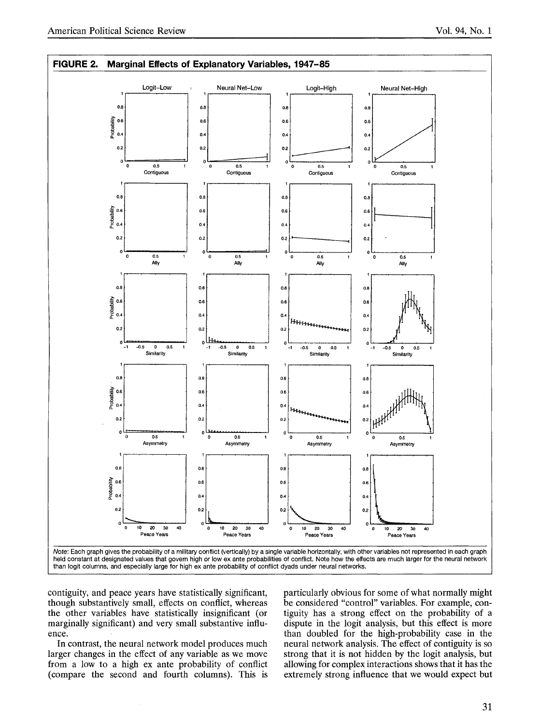

contiguity, and peace years have statistically significant, though substantively small, effects on conflict, whereas the other variables have statistically insignificant (or marginally significant) and very small substantive influence.

In contrast, the neural network model produces much larger changes in the effect of any variable as we move from a low to a high ex ante probability of conflict (compare the second and fourth columns). This is particularly obvious for some of what normally might be considered "control" variables. For example, contiguity has a strong effect on the probability of a dispute in the logit analysis, but this effect is more than doubled for the high-probability case in the neural network analysis. The effect of contiguity is so strong that it is not hidden by the logit analysis, but allowing for complex interactions shows that it has the extremely strong influence that we would expect but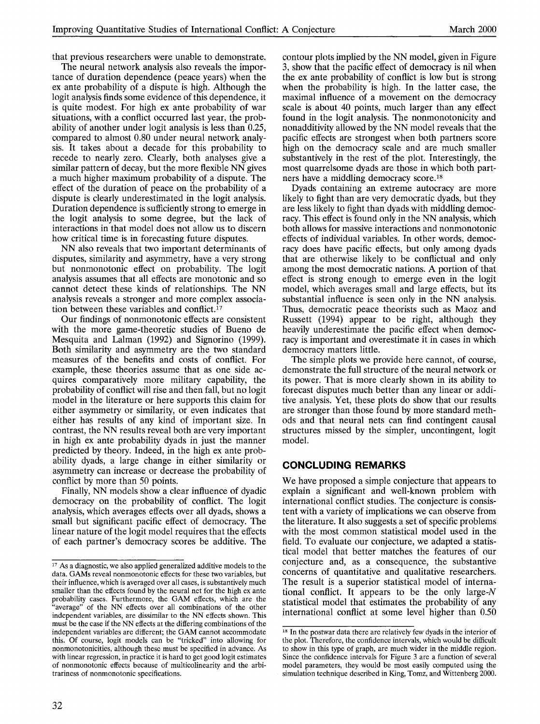that previous researchers were unable to demonstrate.

The neural network analysis also reveals the importance of duration dependence (peace years) when the ex ante probability of a dispute is high. Although the logit analysis finds some evidence of this dependence, it is quite modest. For high ex ante probability of war situations, with a conflict occurred last year, the probability of another under logit analysis is less than 0.25, compared to almost 0.80 under neural network analysis. It takes about a decade for this probability to recede to nearly zero. Clearly, both analyses give a similar pattern of decay, but the more flexible NN gives a much higher maximum probability of a dispute. The effect of the duration of peace on the probability of a dispute is clearly underestimated in the logit analysis. Duration dependence is sufficiently strong to emerge in the logit analysis to some degree, but the lack of interactions in that model does not allow us to discern how critical time is in forecasting future disputes.

NN also reveals that two important determinants of disputes, similarity and asymmetry, have a very strong but nonmonotonic effect on probability. The logit analysis assumes that all effects are monotonic and so cannot detect these kinds of relationships. The NN analysis reveals a stronger and more complex association between these variables and conflict.<sup>17</sup>

Our findings of nonmonotonic effects are consistent with the more game-theoretic studies of Bueno de Mesquita and Lalman (1992) and Signorino (1999). Both similarity and asymmetry are the two standard measures of the benefits and costs of conflict. For example, these theories assume that as one side acquires comparatively more military capability, the probability of conflict will rise and then fall, but no logit model in the literature or here supports this claim for either asymmetry or similarity, or even indicates that either has results of any kind of important size. In contrast, the NN results reveal both are very important in high ex ante probability dyads in just the manner predicted by theory. Indeed, in the high ex ante probability dyads, a large change in either similarity or asymmetry can increase or decrease the probability of conflict by more than 50 points.

Finally, NN models show a clear influence of dyadic democracy on the probability of conflict. The logit analysis, which averages effects over all dyads, shows a small but significant pacific effect of democracy. The linear nature of the logit model requires that the effects of each partner's democracy scores be additive. The

contour plots implied by the NN model, given in Figure 3, show that the pacific effect of democracy is nil when the ex ante probability of conflict is low but is strong when the probability is high. In the latter case, the maximal influence of a movement on the democracy scale is about 40 points, much larger than any effect found in the logit analysis. The nonmonotonicity and nonadditivity allowed by the NN model reveals that the pacific effects are strongest when both partners score high on the democracy scale and are much smaller substantively in the rest of the plot. Interestingly, the most quarrelsome dyads are those in which both partners have a middling democracy score.18

Dyads containing an extreme autocracy are more likely to fight than are very democratic dyads, but they are less likely to fight than dyads with middling democracy. This effect is found only in the NN analysis, which both allows for massive interactions and nonmonotonic effects of individual variables. In other words, democracy does have pacific effects, but only among dyads that are otherwise likely to be conflictual and only among the most democratic nations. A portion of that effect is strong enough to emerge even in the logit model, which averages small and large effects, but its substantial influence is seen only in the NN analysis. Thus, democratic peace theorists such as Maoz and Russett (1994) appear to be right, although they heavily underestimate the pacific effect when democracy is important and overestimate it in cases in which democracy matters little.

The simple plots we provide here cannot, of course, demonstrate the full structure of the neural network or its power. That is more clearly shown in its ability to forecast disputes much better than any linear or additive analysis. Yet, these plots do show that our results are stronger than those found by more standard methods and that neural nets can find contingent causal structures missed by the simpler, uncontingent, logit model.

## **CONCLUDING REMARKS**

We have proposed a simple conjecture that appears to explain a significant and well-known problem with international conflict studies. The conjecture is consistent with a variety of implications we can observe from the literature. It also suggests a set of specific problems with the most common statistical model used in the field. To evaluate our conjecture, we adapted a statistical model that better matches the features of our conjecture and, as a consequence, the substantive concerns of quantitative and qualitative researchers. The result is a superior statistical model of international conflict. It appears to be the only large- $N$ statistical model that estimates the probability of any international conflict at some level higher than 0.50

**l7** AS a diagnostic, we also applied generalized additive models to the data. GAMs reveal nonmonotonic effects for these two variables, but their influence, which is averaged over all cases, is substantively much smaller than the effects found by the neural net for the high ex ante probability cases. Furthermore, the GAM effects, which are the 'average" of the NN effects over all combinations of the other independent variables, are dissimilar to the NN effects shown. This must be the case if the NN effects at the differing combinations of the independent variables are different; the GAM cannot accommodate this. Of course, logit models can be "tricked" into allowing for nonmonotonicities, although these must be specified in advance. As with linear regression, in practice it is hard to get good logit estimates of nonmonotonic effects because of multicolinearity and the arbitrariness of nonmonotonic specifications.

**<sup>1</sup>s** In the postwar data there are relatively few dyads in the interior of the plot. Therefore, the confidence intervals, which would be difficult to show in this type of graph, are much wider in the middle region. Since the confidence intervals for Figure 3 are a function of several model parameters, they would be most easily computed using the simulation technique described in King, Tomz, and Wittenberg 2000.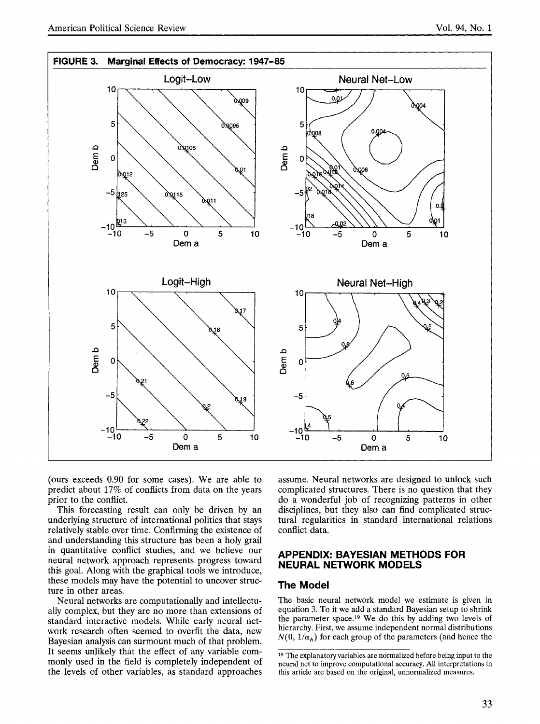

(ours exceeds 0.90 for some cases). We are able to predict about 17% of conflicts from data on the years prior to the conflict.

This forecasting result can only be driven by an underlying structure of international politics that stays relatively stable over time. Confirming the existence of and understanding this structure has been a holy grail in quantitative conflict studies, and we believe our neural network approach represents progress toward this goal. Along with the graphical tools we introduce, these models may have the potential to uncover structure in other areas.

Neural networks are computationally and intellectually complex, but they are no more than extensions of standard interactive models. While early neural network research often seemed to overfit the data, new Bayesian analysis can surmount much of that problem. It seems unlikely that the effect of any variable commonly used in the field is completely independent of the levels of other variables, as standard approaches assume. Neural networks are designed to unlock such complicated structures. There is no question that they do a wonderful job of recognizing patterns in other disciplines, but they also can find complicated structural regularities in standard international relations conflict data.

#### **APPENDIX: BAYESIAN METHODS FOR NEURAL NETWORK MODELS**

#### **The Model**

The basic neural network model we estimate is given in equation 3. To it we add a standard Bayesian setup to shrink the parameter space.19 We do this by adding two levels of hierarchy. First, we assume independent normal distributions  $N(0, 1/\alpha_h)$  for each group of the parameters (and hence the

<sup>&</sup>lt;sup>19</sup> The explanatory variables are normalized before being input to the neural net to improve computational accuracy. All interpretations in this article are based on the original, unnormalized measures.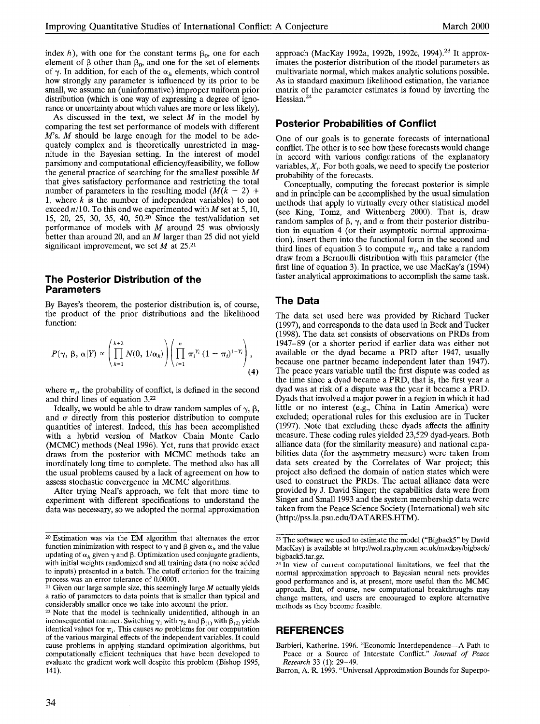index *h*), with one for the constant terms  $\beta_0$ , one for each element of  $\beta$  other than  $\beta_0$ , and one for the set of elements of  $\gamma$ . In addition, for each of the  $\alpha_h$  elements, which control how strongly any parameter is influenced by its prior to be small, we assume an (uninformative) improper uniform prior distribution (which is one way of expressing a degree of ignorance or uncertainty about which values are more or less likely).

As discussed in the text, we select  $M$  in the model by comparing the test set performance of models with different M's. M should be large enough for the model to be adequately complex and is theoretically unrestricted in magnitude in the Bayesian setting. In the interest of model parsimony and computational efficiencylfeasibility, we follow the general practice of searching for the smallest possible M that gives satisfactory performance and restricting the total number of parameters in the resulting model  $(M(k + 2)$  + 1, where  $k$  is the number of independent variables) to not exceed  $n/10$ . To this end we experimented with M set at 5, 10, 15, 20, 25, 30, 35, 40, 50.20 Since the testhalidation set performance of models with  $M$  around 25 was obviously better than around 20, and an  $M$  larger than 25 did not yield significant improvement, we set  $M$  at 25.21

#### **The Posterior Distribution of the Parameters**

By Bayes's theorem, the posterior distribution is, of course, the product of the prior distributions and the likelihood function:

$$
P(\gamma, \beta, \alpha | Y) \propto \left(\prod_{h=1}^{k+2} N(0, 1/\alpha_h)\right) \left(\prod_{i=1}^n \pi_i^{Y_i} (1-\pi_i)^{1-Y_i}\right),\tag{4}
$$

where  $\pi_i$ , the probability of conflict, is defined in the second and third lines of equation 3.22

Ideally, we would be able to draw random samples of  $\gamma$ ,  $\beta$ , and  $\sigma$  directly from this posterior distribution to compute quantities of interest. Indeed, this has been accomplished with a hybrid version of Markov Chain Monte Carlo (MCMC) methods (Neal 1996). Yet, runs that provide exact draws from the posterior with MCMC methods take an inordinately long time to complete. The method also has all the usual problems caused by a lack of agreement on how to assess stochastic convergence in MCMC algorithms.

After trying Neal's approach, we felt that more time to experiment with different specifications to understand the data was necessary, so we adopted the normal approximation approach (MacKay 1992a, 1992b, 1992c, 1994).23 It approximates the posterior distribution of the model parameters as multivariate normal, which makes analytic solutions possible. As in standard maximum likelihood estimation, the variance matrix of the parameter estimates is found by inverting the Hessian. $24$ 

#### **Posterior Probabilities of Conflict**

One of our goals is to generate forecasts of international conflict. The other is to see how these forecasts would change in accord with various configurations of the explanatory variables,  $X_i$ . For both goals, we need to specify the posterior probability of the forecasts.

Conceptually, computing the forecast posterior is simple and in principle can be accomplished by the usual simulation methods that apply to virtually every other statistical model (see King, Tomz, and Wittenberg 2000). That is, draw random samples of  $\beta$ ,  $\gamma$ , and  $\alpha$  from their posterior distribution in equation 4 (or their asymptotic normal approximation), insert them into the functional form in the second and third lines of equation 3 to compute  $\pi_i$ , and take a random draw from a Bernoulli distribution with this parameter (the first line of equation 3). In practice, we use MacKay's  $(1994)$ faster analytical approximations to accomplish the same task.

#### **The Data**

The data set used here was provided by Richard Tucker (1997), and corresponds to the data used in Beck and Tucker (1998). The data set consists of observations on PRDs from 1947-89 (or a shorter period if earlier data was either not available or the dyad became a PRD after 1947, usually because one partner became independent later than 1947). The peace years variable until the first dispute was coded as the time since a dyad became a PRD, that is, the first year a dyad was at risk of a dispute was the year it became a PRD. Dyads that involved a major power in a region in which it had little or no interest (e.g., China in Latin America) were excluded; operational rules for this exclusion are in Tucker (1997). Note that excluding these dyads affects the affinity measure. These coding rules yielded 23,529 dyad-years. Both alliance data (for the similarity measure) and national capabilities data (for the asymmetry measure) were taken from data sets created by the Correlates of War project; this project also defined the domain of nation states which were used to construct the PRDs. The actual alliance data were provided by J. David Singer; the capabilities data were from Singer and Small 1993 and the system membership data were taken from the Peace Science Society (International) web site (http://pss.la.psu.edu/DATARES.HTM).

#### **REFERENCES**

<sup>20</sup>Estimation was via the EM algorithm that alternates the error function minimization with respect to  $\gamma$  and  $\beta$  given  $\alpha_h$  and the value updating of  $\alpha_h$  given  $\gamma$  and  $\beta$ . Optimization used conjugate gradients, with initial weights randomized and all training data (no noise added to inputs) presented in a batch. The cutoff criterion for the training process was an error tolerance of 0.00001.

 $21$  Given our large sample size, this seemingly large M actually yields a ratio of parameters to data points that is smaller than typical and considerably smaller once we take into account the prior.

<sup>22</sup>Note that the model is technically unidentified, although in an inconsequential manner. Switching  $\gamma_1$  with  $\gamma_2$  and  $\beta_{(1)}$  with  $\beta_{(2)}$  yields identical values for  $\pi_i$ . This causes no problems for our computation of the various marginal effects of the independent variables. It could cause problems in applying standard optimization algorithms, but computationally efficient techniques that have been developed to evaluate the gradient work well despite this problem (Bishop 1995, 141).

<sup>&</sup>lt;sup>23</sup> The software we used to estimate the model ("Bigback5" by David MacKay) is available at http://wol.ra.phy.cam.ac.uk/mackay/bigback/ bigback5.tar.gz.

<sup>24</sup>In view of current computational limitations, we feel that the normal approximation approach to Bayesian neural nets provides good performance and is, at present, more useful than the MCMC approach. But, of course, new computational breakthroughs may change matters, and users are encouraged to explore alternative methods as they become feasible.

Barbieri, Katherine. 1996. "Economic Interdependence--- A Path to Peace or a Source of Interstate Conflict." *Journal* of *Peace Research* 33 (1): 29-49.

Barron, A. R. 1993. "Universal Approximation Bounds for Superpo-